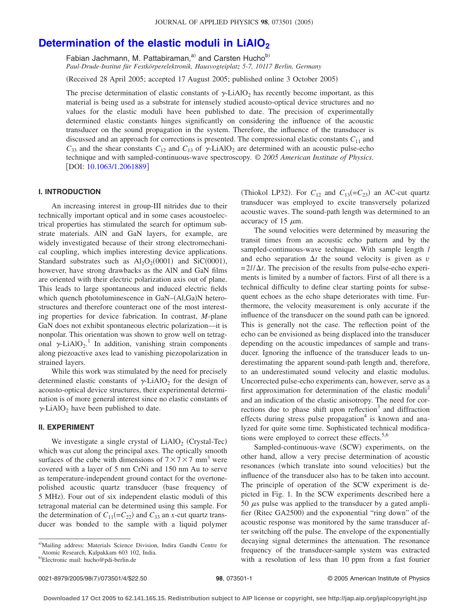# **Determination of the elastic moduli in LiAlO<sub>2</sub>**

Fabian Jachmann, M. Pattabiraman, $a^0$  and Carsten Hucho<sup>b)</sup> *Paul-Drude-Institut für Festkörperelektronik, Hausvogteiplatz 5-7, 10117 Berlin, Germany*

Received 28 April 2005; accepted 17 August 2005; published online 3 October 2005-

The precise determination of elastic constants of  $\gamma$ -LiAlO<sub>2</sub> has recently become important, as this material is being used as a substrate for intensely studied acousto-optical device structures and no values for the elastic moduli have been published to date. The precision of experimentally determined elastic constants hinges significantly on considering the influence of the acoustic transducer on the sound propagation in the system. Therefore, the influence of the transducer is discussed and an approach for corrections is presented. The compressional elastic constants *C*<sup>11</sup> and  $C_{33}$  and the shear constants  $C_{12}$  and  $C_{13}$  of  $\gamma$ -LiAlO<sub>2</sub> are determined with an acoustic pulse-echo technique and with sampled-continuous-wave spectroscopy. © *2005 American Institute of Physics*. [DOI: [10.1063/1.2061889](http://dx.doi.org/10.1063/1.2061889)]

## **I. INTRODUCTION**

An increasing interest in group-III nitrides due to their technically important optical and in some cases acoustoelectrical properties has stimulated the search for optimum substrate materials. AlN and GaN layers, for example, are widely investigated because of their strong electromechanical coupling, which implies interesting device applications. Standard substrates such as  $Al_2O_2(0001)$  and SiC(0001), however, have strong drawbacks as the AlN and GaN films are oriented with their electric polarization axis out of plane. This leads to large spontaneous and induced electric fields which quench photoluminescence in GaN-(Al,Ga)N heterostructures and therefore counteract one of the most interesting properties for device fabrication. In contrast, *M*-plane GaN does not exhibit spontaneous electric polarization—it is nonpolar. This orientation was shown to grow well on tetragonal  $\gamma$ -LiAlO<sub>2</sub>.<sup>1</sup> In addition, vanishing strain components along piezoactive axes lead to vanishing piezopolarization in strained layers.

While this work was stimulated by the need for precisely determined elastic constants of  $\gamma$ -LiAlO<sub>2</sub> for the design of acousto-optical device structures, their experimental determination is of more general interest since no elastic constants of  $\gamma$ -LiAlO<sub>2</sub> have been published to date.

### **II. EXPERIMENT**

We investigate a single crystal of  $LiAlO<sub>2</sub>$  (Crystal-Tec) which was cut along the principal axes. The optically smooth surfaces of the cube with dimensions of  $7 \times 7 \times 7$  mm<sup>3</sup> were covered with a layer of 5 nm CrNi and 150 nm Au to serve as temperature-independent ground contact for the overtonepolished acoustic quartz transducer base frequency of 5 MHz). Four out of six independent elastic moduli of this tetragonal material can be determined using this sample. For the determination of  $C_{11} (= C_{22})$  and  $C_{33}$  an *x*-cut quartz transducer was bonded to the sample with a liquid polymer

(Thiokol LP32). For  $C_{12}$  and  $C_{13} (= C_{23})$  an AC-cut quartz transducer was employed to excite transversely polarized acoustic waves. The sound-path length was determined to an accuracy of 15  $\mu$ m.

The sound velocities were determined by measuring the transit times from an acoustic echo pattern and by the sampled-continuous-wave technique. With sample length *l* and echo separation  $\Delta t$  the sound velocity is given as *v*  $= 2l/\Delta t$ . The precision of the results from pulse-echo experiments is limited by a number of factors. First of all there is a technical difficulty to define clear starting points for subsequent echoes as the echo shape deteriorates with time. Furthermore, the velocity measurement is only accurate if the influence of the transducer on the sound path can be ignored. This is generally not the case. The reflection point of the echo can be envisioned as being displaced into the transducer depending on the acoustic impedances of sample and transducer. Ignoring the influence of the transducer leads to underestimating the apparent sound-path length and, therefore, to an underestimated sound velocity and elastic modulus. Uncorrected pulse-echo experiments can, however, serve as a first approximation for determination of the elastic moduli<sup>2</sup> and an indication of the elastic anisotropy. The need for corrections due to phase shift upon reflection<sup>3</sup> and diffraction effects during stress pulse propagation<sup>4</sup> is known and analyzed for quite some time. Sophisticated technical modifications were employed to correct these effects. $5,6$ 

Sampled-continuous-wave (SCW) experiments, on the other hand, allow a very precise determination of acoustic resonances (which translate into sound velocities) but the influence of the transducer also has to be taken into account. The principle of operation of the SCW experiment is depicted in Fig. 1. In the SCW experiments described here a 50  $\mu$ s pulse was applied to the transducer by a gated amplifier (Ritec GA2500) and the exponential "ring down" of the acoustic response was monitored by the same transducer after switching off the pulse. The envelope of the exponentially decaying signal determines the attenuation. The resonance frequency of the transducer-sample system was extracted with a resolution of less than 10 ppm from a fast fourier

a)Mailing address: Materials Science Division, Indira Gandhi Centre for Atomic Research, Kalpakkam 603 102, India.

<sup>&</sup>lt;sup>b)</sup>Electronic mail: hucho@pdi-berlin.de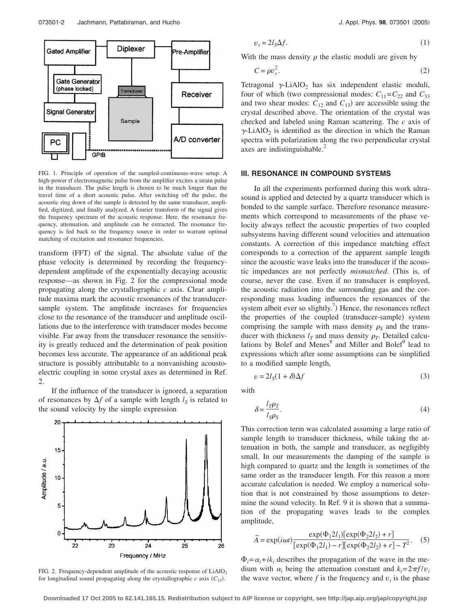

FIG. 1. Principle of operation of the sampled-continuous-wave setup. A high-power rf electromagnetic pulse from the amplifier excites a strain pulse in the transducer. The pulse length is chosen to be much longer than the travel time of a short acoustic pulse. After switching off the pulse, the acoustic ring down of the sample is detected by the same transducer, amplified, digitized, and finally analyzed. A fourier transform of the signal gives the frequency spectrum of the acoustic response. Here, the resonance frequency, attenuation, and amplitude can be extracted. The resonance frequency is fed back to the frequency source in order to warrant optimal matching of excitation and resonance frequencies.

transform (FFT) of the signal. The absolute value of the phase velocity is determined by recording the frequencydependent amplitude of the exponentially decaying acoustic response—as shown in Fig. 2 for the compressional mode propagating along the crystallographic *c* axis. Clear amplitude maxima mark the acoustic resonances of the transducersample system. The amplitude increases for frequencies close to the resonance of the transducer and amplitude oscillations due to the interference with transducer modes become visible. Far away from the transducer resonance the sensitivity is greatly reduced and the determination of peak position becomes less accurate. The appearance of an additional peak structure is possibly attributable to a nonvanishing acoustoelectric coupling in some crystal axes as determined in Ref. 2.

If the influence of the transducer is ignored, a separation of resonances by  $\Delta f$  of a sample with length  $l_s$  is related to the sound velocity by the simple expression



FIG. 2. Frequency-dependent amplitude of the acoustic response of  $LiAlO<sub>2</sub>$ for longitudinal sound propagating along the crystallographic  $c$  axis  $(C_{33})$ .

$$
v_s = 2l_s \Delta f. \tag{1}
$$

With the mass density  $\rho$  the elastic moduli are given by

$$
C = \rho v_s^2. \tag{2}
$$

Tetragonal  $\gamma$ -LiAlO<sub>2</sub> has six independent elastic moduli, four of which (two compressional modes:  $C_{11} = C_{22}$  and  $C_{33}$ and two shear modes:  $C_{12}$  and  $C_{13}$ ) are accessible using the crystal described above. The orientation of the crystal was checked and labeled using Raman scattering. The *c* axis of  $\gamma$ -LiAlO<sub>2</sub> is identified as the direction in which the Raman spectra with polarization along the two perpendicular crystal axes are indistinguishable.<sup>2</sup>

#### **III. RESONANCE IN COMPOUND SYSTEMS**

In all the experiments performed during this work ultrasound is applied and detected by a quartz transducer which is bonded to the sample surface. Therefore resonance measurements which correspond to measurements of the phase velocity always reflect the acoustic properties of two coupled subsystems having different sound velocities and attenuation constants. A correction of this impedance matching effect corresponds to a correction of the apparent sample length since the acoustic wave leaks into the transducer if the acoustic impedances are not perfectly *mismatched*. This is, of course, never the case. Even if no transducer is employed, the acoustic radiation into the surrounding gas and the corresponding mass loading influences the resonances of the system albeit ever so slightly.<sup>7</sup>) Hence, the resonances reflect the properties of the coupled (transducer-sample) system comprising the sample with mass density  $\rho_s$  and the transducer with thickness  $l_T$  and mass density  $\rho_T$ . Detailed calculations by Bolef and Menes $8$  and Miller and Bolef $9$  lead to expressions which after some assumptions can be simplified to a modified sample length,

$$
v = 2l_S(1+\delta)\Delta f \tag{3}
$$

with

$$
\delta = \frac{l_T \rho_T}{l_S \rho_S}.\tag{4}
$$

This correction term was calculated assuming a large ratio of sample length to transducer thickness, while taking the attenuation in both, the sample and transducer, as negligibly small. In our measurements the damping of the sample is high compared to quartz and the length is sometimes of the same order as the transducer length. For this reason a more accurate calculation is needed. We employ a numerical solution that is not constrained by those assumptions to determine the sound velocity. In Ref. 9 it is shown that a summation of the propagating waves leads to the complex amplitude,

$$
\widetilde{A} = \exp(i\omega t) \frac{\exp(\Phi_1 2l_1)[\exp(\Phi_2 2l_2) + r]}{[\exp(\Phi_1 2l_1) - r][\exp(\Phi_2 2l_2) + r] - T^2}.
$$
 (5)

 $\Phi_i = \alpha_i + i k_i$  describes the propagation of the wave in the medium with  $\alpha_i$  being the attenuation constant and  $k_i = 2\pi f/v_i$ the wave vector, where  $f$  is the frequency and  $v_i$  is the phase

**Downloaded 17 Oct 2005 to 62.141.165.15. Redistribution subject to AIP license or copyright, see http://jap.aip.org/jap/copyright.jsp**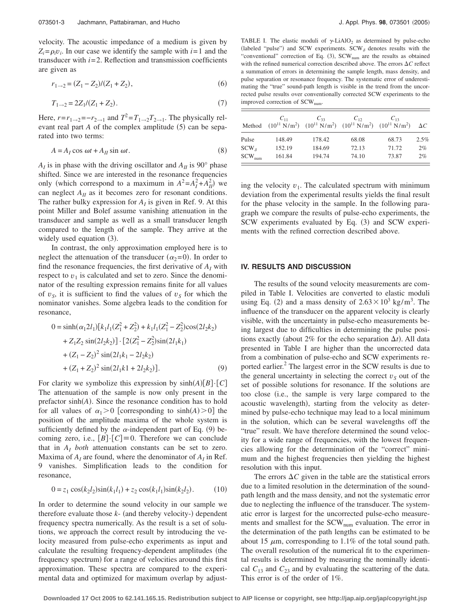velocity. The acoustic impedance of a medium is given by  $Z_i = \rho_i v_i$ . In our case we identify the sample with  $i = 1$  and the transducer with  $i = 2$ . Reflection and transmission coefficients are given as

$$
r_{1 \to 2} = (Z_1 - Z_2)/(Z_1 + Z_2),\tag{6}
$$

$$
T_{1\to 2} = 2Z_1/(Z_1 + Z_2). \tag{7}
$$

Here,  $r=r_{1\rightarrow 2}=-r_{2\rightarrow 1}$  and  $T^2=T_{1\rightarrow 2}T_{2\rightarrow 1}$ . The physically relevant real part  $A$  of the complex amplitude  $(5)$  can be separated into two terms:

$$
A = A_I \cos \omega t + A_{II} \sin \omega t. \tag{8}
$$

 $A_I$  is in phase with the driving oscillator and  $A_{II}$  is 90° phase shifted. Since we are interested in the resonance frequencies only (which correspond to a maximum in  $A^2 = A_I^2 + A_{II}^2$ ) we can neglect  $A_{II}$  as it becomes zero for resonant conditions. The rather bulky expression for  $A<sub>I</sub>$  is given in Ref. 9. At this point Miller and Bolef assume vanishing attenuation in the transducer and sample as well as a small transducer length compared to the length of the sample. They arrive at the widely used equation (3).

In contrast, the only approximation employed here is to neglect the attenuation of the transducer  $(\alpha_2=0)$ . In order to find the resonance frequencies, the first derivative of  $A_I$  with respect to  $v_1$  is calculated and set to zero. Since the denominator of the resulting expression remains finite for all values of  $v_s$ , it is sufficient to find the values of  $v_s$  for which the nominator vanishes. Some algebra leads to the condition for resonance,

$$
0 = \sinh(\alpha_1 2l_1)[k_1l_1(Z_1^2 + Z_2^2) + k_1l_1(Z_1^2 - Z_2^2)\cos(2l_2k_2)
$$
  
+ Z<sub>1</sub>Z<sub>2</sub> sin(2l<sub>2</sub>k<sub>2</sub>)] · [2(Z<sub>1</sub><sup>2</sup> - Z<sub>2</sub><sup>2</sup>)sin(2l<sub>1</sub>k<sub>1</sub>)  
+ (Z<sub>1</sub> - Z<sub>2</sub>)<sup>2</sup> sin(2l<sub>1</sub>k<sub>1</sub> - 2l<sub>2</sub>k<sub>2</sub>)  
+ (Z<sub>1</sub> + Z<sub>2</sub>)<sup>2</sup> sin(2l<sub>1</sub>k<sub>1</sub> + 2l<sub>2</sub>k<sub>2</sub>)]. (9)

For clarity we symbolize this expression by  $sinh(A)[B]\cdot [C]$ The attenuation of the sample is now only present in the prefactor  $sinh(A)$ . Since the resonance condition has to hold for all values of  $\alpha_1 > 0$  [corresponding to sinh(A) > 0] the position of the amplitude maxima of the whole system is sufficiently defined by the  $\alpha$ -independent part of Eq. (9) becoming zero, i.e.,  $[B] \cdot [C] \equiv 0$ . Therefore we can conclude that in  $A_I$  *both* attenuation constants can be set to zero. Maxima of  $A_I$  are found, where the denominator of  $A_I$  in Ref. 9 vanishes. Simplification leads to the condition for resonance,

$$
0 = z_1 \cos(k_2 l_2) \sin(k_1 l_1) + z_2 \cos(k_1 l_1) \sin(k_2 l_2).
$$
 (10)

In order to determine the sound velocity in our sample we therefore evaluate those  $k$ - (and thereby velocity-) dependent frequency spectra numerically. As the result is a set of solutions, we approach the correct result by introducing the velocity measured from pulse-echo experiments as input and calculate the resulting frequency-dependent amplitudes (the frequency spectrum) for a range of velocities around this first approximation. These spectra are compared to the experimental data and optimized for maximum overlap by adjust-

TABLE I. The elastic moduli of  $\gamma$ -LiAlO<sub>2</sub> as determined by pulse-echo (labeled "pulse") and SCW experiments. SCW<sub> $\delta$ </sub> denotes results with the "conventional" correction of Eq. (3), SCW<sub>num</sub> are the results as obtained with the refined numerical correction described above. The errors  $\Delta C$  reflect a summation of errors in determining the sample length, mass density, and pulse separation or resonance frequency. The systematic error of underestimating the "true" sound-path length is visible in the trend from the uncorrected pulse results over conventionally corrected SCW experiments to the improved correction of SCW<sub>num</sub>.

|                | $C_{11}$<br>Method $(10^{11} \text{ N/m}^2)$ $(10^{11} \text{ N/m}^2)$ $(10^{11} \text{ N/m}^2)$ $(10^{11} \text{ N/m}^2)$ | $C_{33}$ | $C_{12}$ | $C_{12}$ | $\Delta C$ |
|----------------|----------------------------------------------------------------------------------------------------------------------------|----------|----------|----------|------------|
| Pulse          | 148.49                                                                                                                     | 178.42   | 68.08    | 68.73    | 2.5%       |
| $SCW_{\delta}$ | 152.19                                                                                                                     | 184.69   | 72.13    | 71.72    | 2%         |
| $SCW_{num}$    | 161.84                                                                                                                     | 194.74   | 74.10    | 73.87    | 2%         |

ing the velocity  $v_1$ . The calculated spectrum with minimum deviation from the experimental results yields the final result for the phase velocity in the sample. In the following paragraph we compare the results of pulse-echo experiments, the SCW experiments evaluated by Eq. (3) and SCW experiments with the refined correction described above.

#### **IV. RESULTS AND DISCUSSION**

The results of the sound velocity measurements are compiled in Table I. Velocities are converted to elastic moduli using Eq. (2) and a mass density of  $2.63 \times 10^3$  kg/m<sup>3</sup>. The influence of the transducer on the apparent velocity is clearly visible, with the uncertainty in pulse-echo measurements being largest due to difficulties in determining the pulse positions exactly (about 2% for the echo separation  $\Delta t$ ). All data presented in Table I are higher than the uncorrected data from a combination of pulse-echo and SCW experiments reported earlier. $<sup>2</sup>$  The largest error in the SCW results is due to</sup> the general uncertainty in selecting the correct  $v<sub>S</sub>$  out of the set of possible solutions for resonance. If the solutions are too close (i.e., the sample is very large compared to the acoustic wavelength), starting from the velocity as determined by pulse-echo technique may lead to a local minimum in the solution, which can be several wavelengths off the "true" result. We have therefore determined the sound velocity for a wide range of frequencies, with the lowest frequencies allowing for the determination of the "correct" minimum and the highest frequencies then yielding the highest resolution with this input.

The errors  $\Delta C$  given in the table are the statistical errors due to a limited resolution in the determination of the soundpath length and the mass density, and not the systematic error due to neglecting the influence of the transducer. The systematic error is largest for the uncorrected pulse-echo measurements and smallest for the SCW<sub>num</sub> evaluation. The error in the determination of the path lengths can be estimated to be about 15  $\mu$ m, corresponding to 1.1% of the total sound path. The overall resolution of the numerical fit to the experimental results is determined by measuring the nominally identical  $C_{13}$  and  $C_{23}$  and by evaluating the scattering of the data. This error is of the order of 1%.